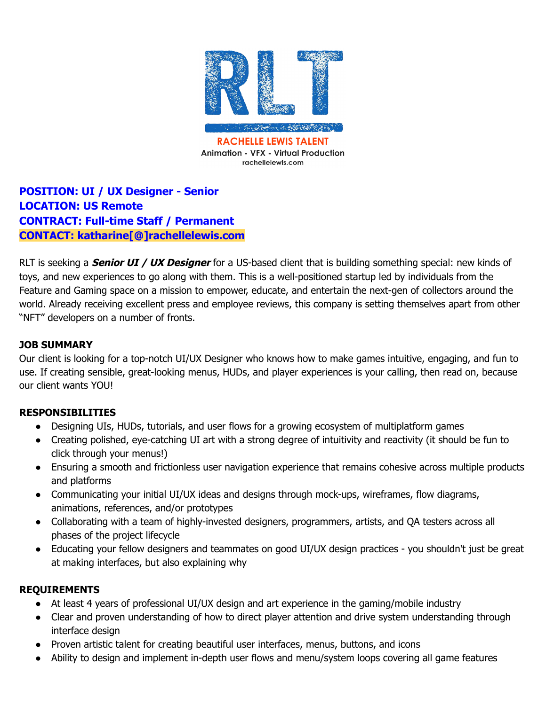

**Animation - VFX - Virtual Production** rachellelewis.com

**POSITION: UI / UX Designer - Senior LOCATION: US Remote CONTRACT: Full-time Staff / Permanent CONTACT: katharine[@]rachellelewis.com**

RLT is seeking a **Senior UI / UX Designer** for a US-based client that is building something special: new kinds of toys, and new experiences to go along with them. This is a well-positioned startup led by individuals from the Feature and Gaming space on a mission to empower, educate, and entertain the next-gen of collectors around the world. Already receiving excellent press and employee reviews, this company is setting themselves apart from other "NFT" developers on a number of fronts.

## **JOB SUMMARY**

Our client is looking for a top-notch UI/UX Designer who knows how to make games intuitive, engaging, and fun to use. If creating sensible, great-looking menus, HUDs, and player experiences is your calling, then read on, because our client wants YOU!

## **RESPONSIBILITIES**

- Designing UIs, HUDs, tutorials, and user flows for a growing ecosystem of multiplatform games
- Creating polished, eye-catching UI art with a strong degree of intuitivity and reactivity (it should be fun to click through your menus!)
- Ensuring a smooth and frictionless user navigation experience that remains cohesive across multiple products and platforms
- Communicating your initial UI/UX ideas and designs through mock-ups, wireframes, flow diagrams, animations, references, and/or prototypes
- Collaborating with a team of highly-invested designers, programmers, artists, and QA testers across all phases of the project lifecycle
- Educating your fellow designers and teammates on good UI/UX design practices you shouldn't just be great at making interfaces, but also explaining why

## **REQUIREMENTS**

- At least 4 years of professional UI/UX design and art experience in the gaming/mobile industry
- Clear and proven understanding of how to direct player attention and drive system understanding through interface design
- Proven artistic talent for creating beautiful user interfaces, menus, buttons, and icons
- Ability to design and implement in-depth user flows and menu/system loops covering all game features